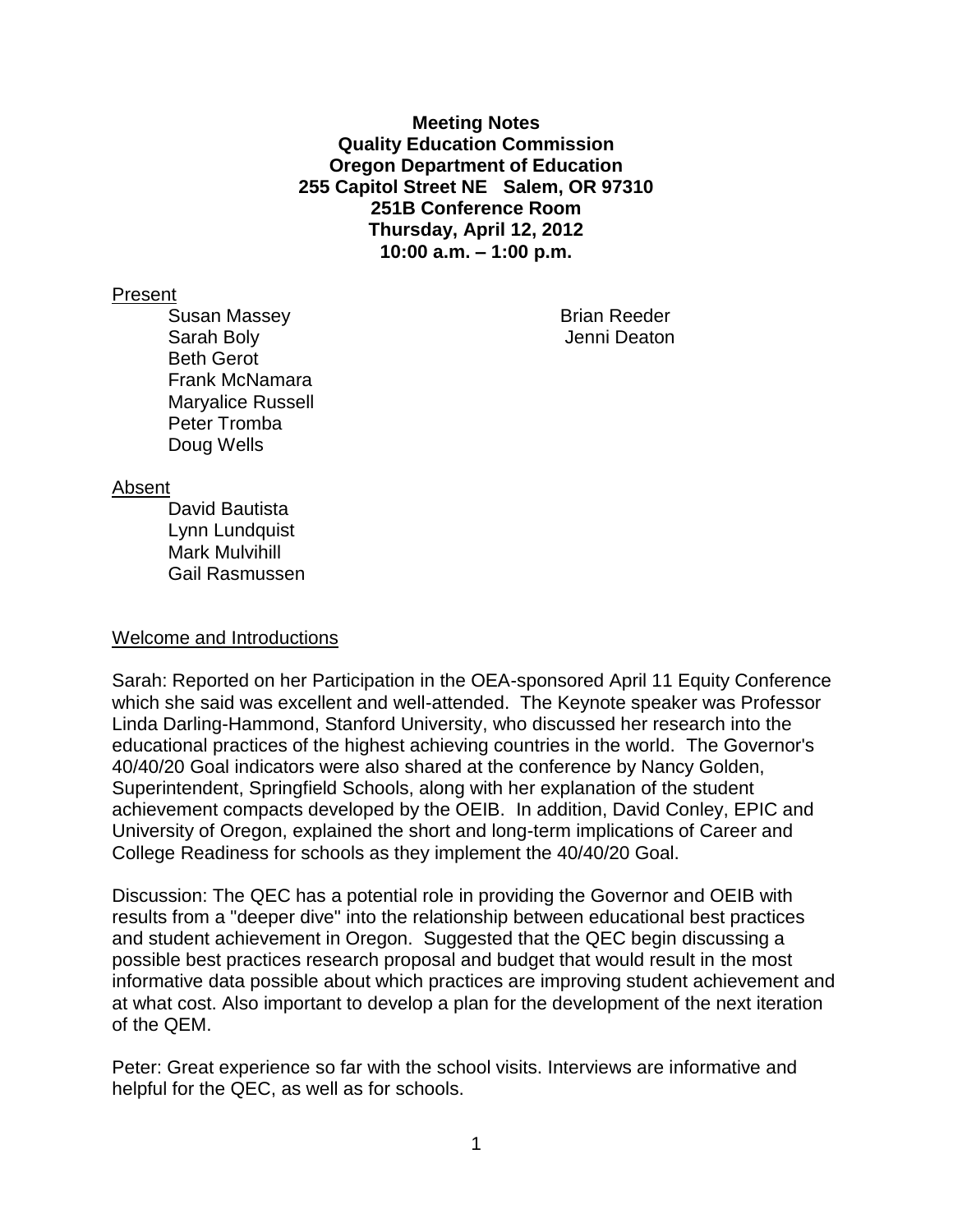**Meeting Notes Quality Education Commission Oregon Department of Education 255 Capitol Street NE Salem, OR 97310 251B Conference Room Thursday, April 12, 2012 10:00 a.m. – 1:00 p.m.**

#### Present

Susan Massey **Brian Reeder** Brian Reeder Sarah Boly **Garah Boly Jenni Deaton** Beth Gerot Frank McNamara Maryalice Russell Peter Tromba Doug Wells

#### Absent

David Bautista Lynn Lundquist Mark Mulvihill Gail Rasmussen

#### Welcome and Introductions

Sarah: Reported on her Participation in the OEA-sponsored April 11 Equity Conference which she said was excellent and well-attended. The Keynote speaker was Professor Linda Darling-Hammond, Stanford University, who discussed her research into the educational practices of the highest achieving countries in the world. The Governor's 40/40/20 Goal indicators were also shared at the conference by Nancy Golden, Superintendent, Springfield Schools, along with her explanation of the student achievement compacts developed by the OEIB. In addition, David Conley, EPIC and University of Oregon, explained the short and long-term implications of Career and College Readiness for schools as they implement the 40/40/20 Goal.

Discussion: The QEC has a potential role in providing the Governor and OEIB with results from a "deeper dive" into the relationship between educational best practices and student achievement in Oregon. Suggested that the QEC begin discussing a possible best practices research proposal and budget that would result in the most informative data possible about which practices are improving student achievement and at what cost. Also important to develop a plan for the development of the next iteration of the QEM.

Peter: Great experience so far with the school visits. Interviews are informative and helpful for the QEC, as well as for schools.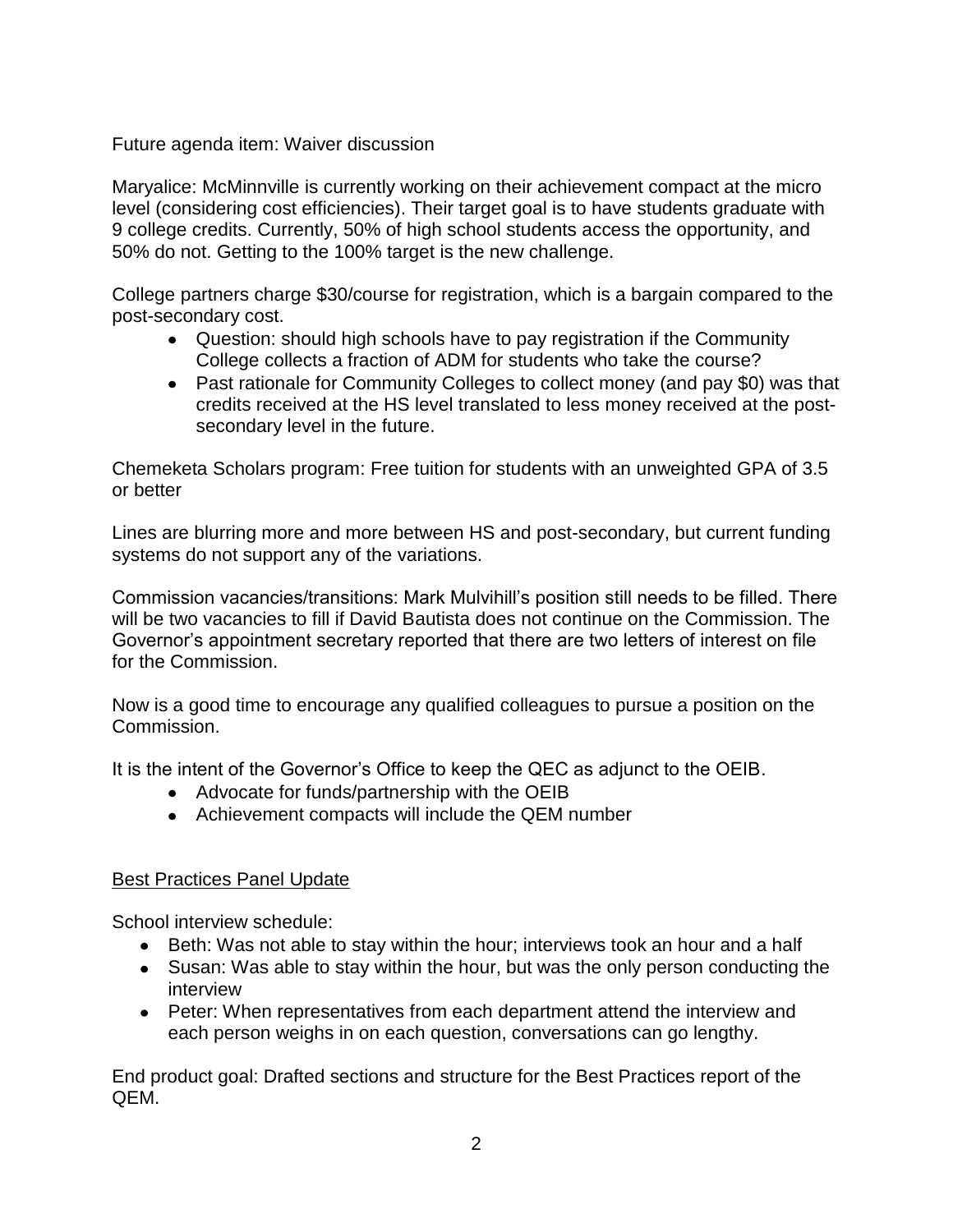# Future agenda item: Waiver discussion

Maryalice: McMinnville is currently working on their achievement compact at the micro level (considering cost efficiencies). Their target goal is to have students graduate with 9 college credits. Currently, 50% of high school students access the opportunity, and 50% do not. Getting to the 100% target is the new challenge.

College partners charge \$30/course for registration, which is a bargain compared to the post-secondary cost.

- Question: should high schools have to pay registration if the Community College collects a fraction of ADM for students who take the course?
- Past rationale for Community Colleges to collect money (and pay \$0) was that credits received at the HS level translated to less money received at the postsecondary level in the future.

Chemeketa Scholars program: Free tuition for students with an unweighted GPA of 3.5 or better

Lines are blurring more and more between HS and post-secondary, but current funding systems do not support any of the variations.

Commission vacancies/transitions: Mark Mulvihill's position still needs to be filled. There will be two vacancies to fill if David Bautista does not continue on the Commission. The Governor's appointment secretary reported that there are two letters of interest on file for the Commission.

Now is a good time to encourage any qualified colleagues to pursue a position on the Commission.

It is the intent of the Governor's Office to keep the QEC as adjunct to the OEIB.

- Advocate for funds/partnership with the OEIB
- Achievement compacts will include the QEM number

# Best Practices Panel Update

School interview schedule:

- Beth: Was not able to stay within the hour; interviews took an hour and a half
- Susan: Was able to stay within the hour, but was the only person conducting the interview
- Peter: When representatives from each department attend the interview and each person weighs in on each question, conversations can go lengthy.

End product goal: Drafted sections and structure for the Best Practices report of the QEM.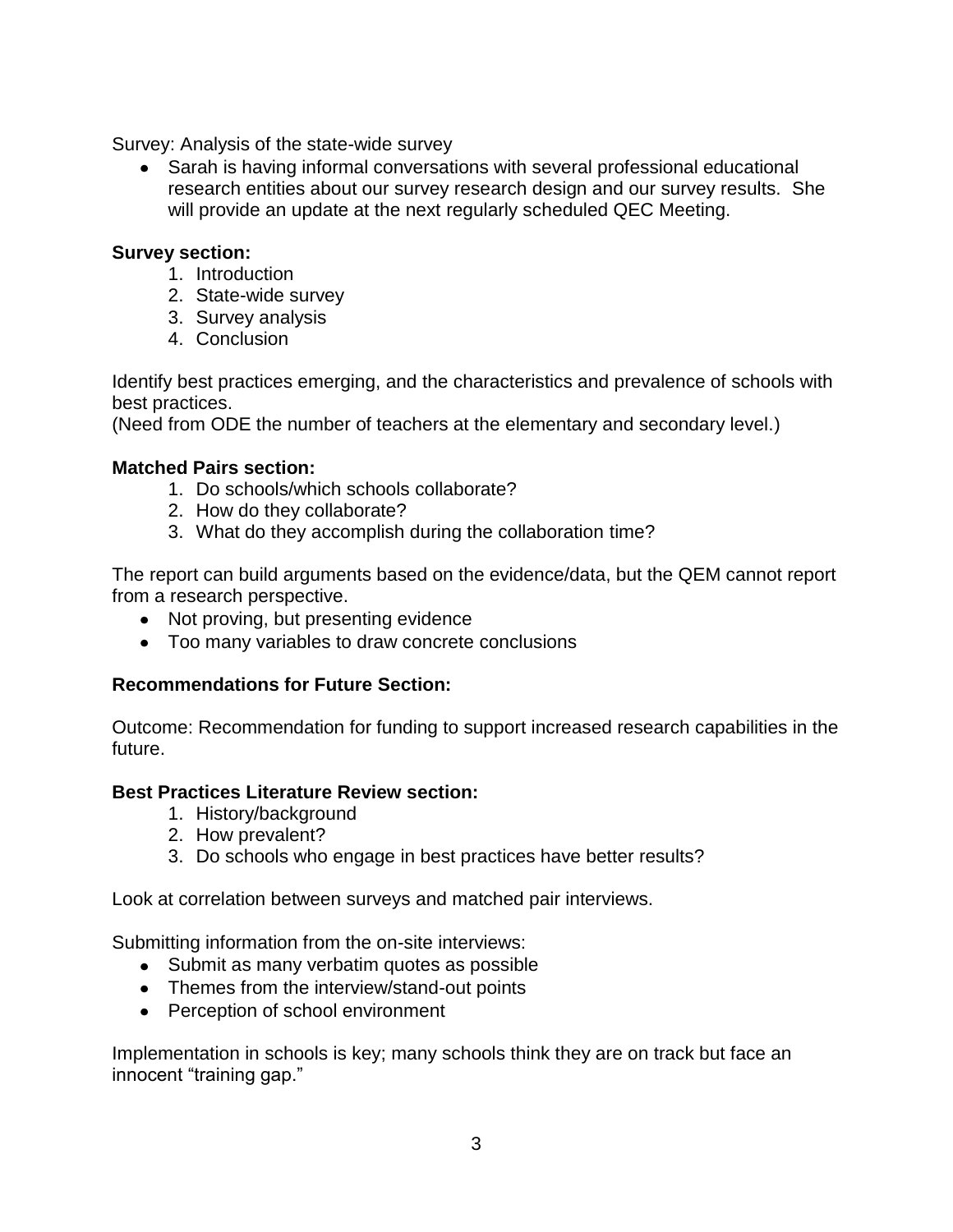Survey: Analysis of the state-wide survey

Sarah is having informal conversations with several professional educational research entities about our survey research design and our survey results. She will provide an update at the next regularly scheduled QEC Meeting.

# **Survey section:**

- 1. Introduction
- 2. State-wide survey
- 3. Survey analysis
- 4. Conclusion

Identify best practices emerging, and the characteristics and prevalence of schools with best practices.

(Need from ODE the number of teachers at the elementary and secondary level.)

# **Matched Pairs section:**

- 1. Do schools/which schools collaborate?
- 2. How do they collaborate?
- 3. What do they accomplish during the collaboration time?

The report can build arguments based on the evidence/data, but the QEM cannot report from a research perspective.

- Not proving, but presenting evidence
- Too many variables to draw concrete conclusions

# **Recommendations for Future Section:**

Outcome: Recommendation for funding to support increased research capabilities in the future.

### **Best Practices Literature Review section:**

- 1. History/background
- 2. How prevalent?
- 3. Do schools who engage in best practices have better results?

Look at correlation between surveys and matched pair interviews.

Submitting information from the on-site interviews:

- Submit as many verbatim quotes as possible
- Themes from the interview/stand-out points
- Perception of school environment

Implementation in schools is key; many schools think they are on track but face an innocent "training gap."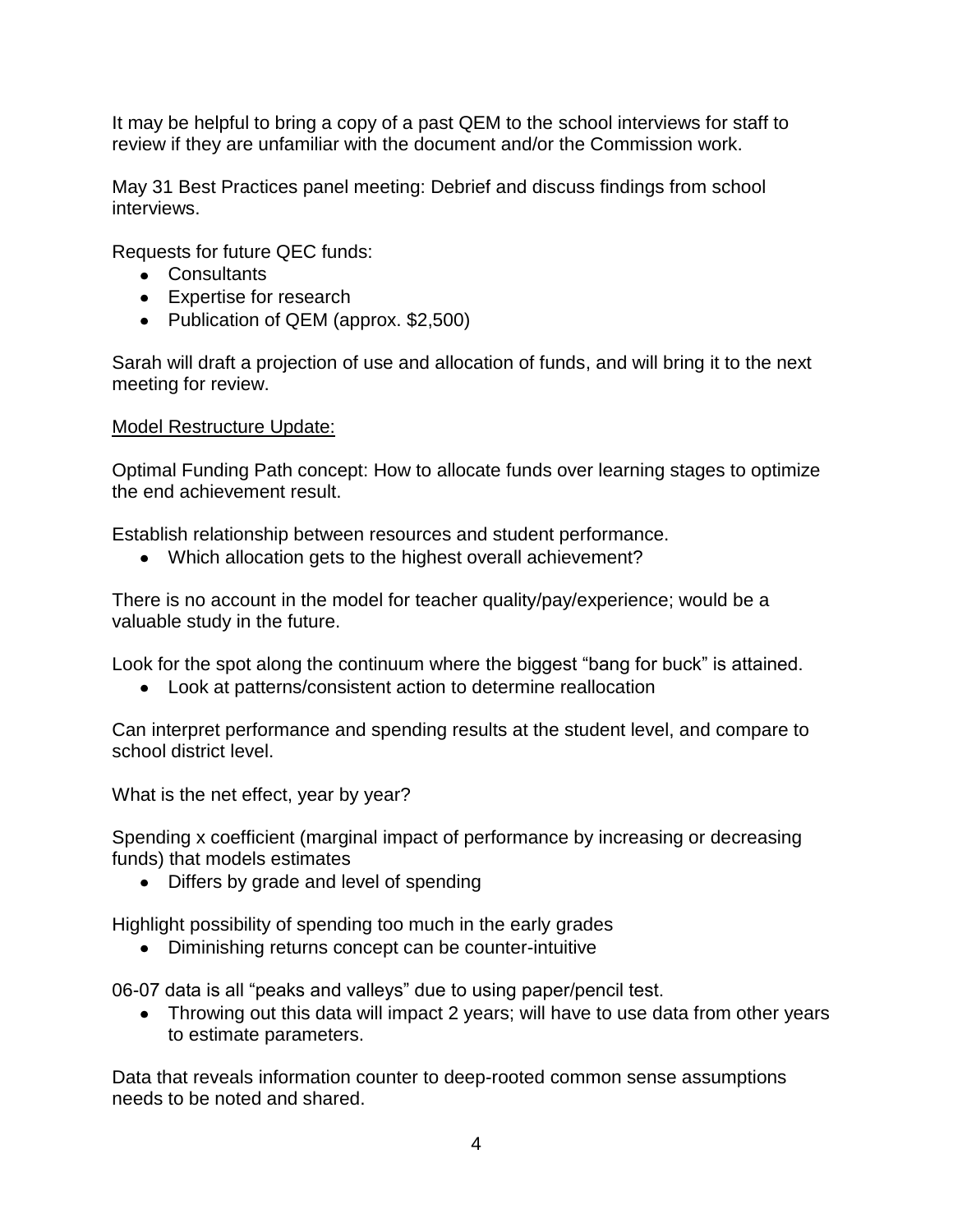It may be helpful to bring a copy of a past QEM to the school interviews for staff to review if they are unfamiliar with the document and/or the Commission work.

May 31 Best Practices panel meeting: Debrief and discuss findings from school interviews.

Requests for future QEC funds:

- Consultants
- Expertise for research
- Publication of QEM (approx. \$2,500)

Sarah will draft a projection of use and allocation of funds, and will bring it to the next meeting for review.

#### Model Restructure Update:

Optimal Funding Path concept: How to allocate funds over learning stages to optimize the end achievement result.

Establish relationship between resources and student performance.

Which allocation gets to the highest overall achievement?

There is no account in the model for teacher quality/pay/experience; would be a valuable study in the future.

Look for the spot along the continuum where the biggest "bang for buck" is attained.

Look at patterns/consistent action to determine reallocation

Can interpret performance and spending results at the student level, and compare to school district level.

What is the net effect, year by year?

Spending x coefficient (marginal impact of performance by increasing or decreasing funds) that models estimates

• Differs by grade and level of spending

Highlight possibility of spending too much in the early grades

Diminishing returns concept can be counter-intuitive

06-07 data is all "peaks and valleys" due to using paper/pencil test.

• Throwing out this data will impact 2 years; will have to use data from other years to estimate parameters.

Data that reveals information counter to deep-rooted common sense assumptions needs to be noted and shared.